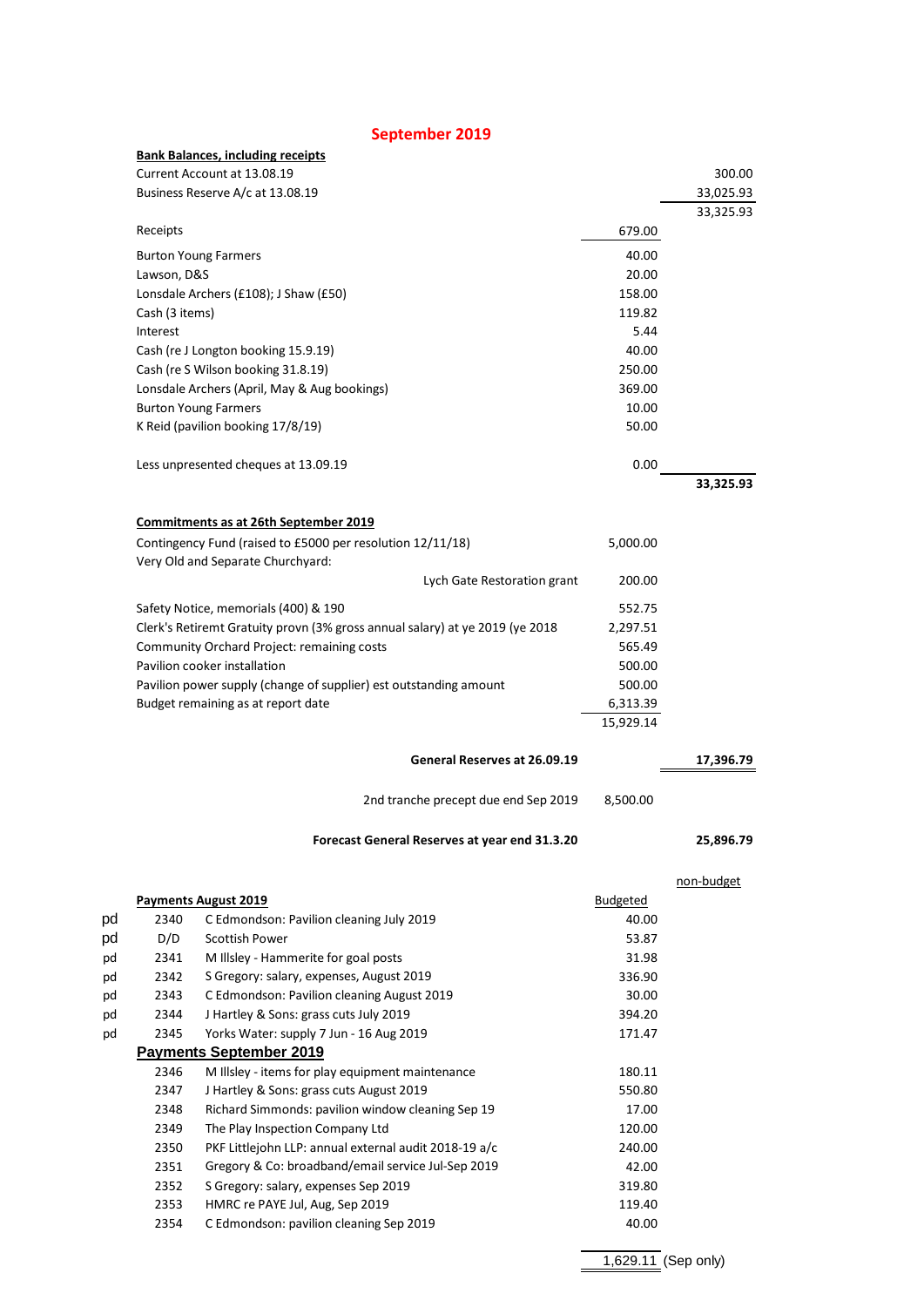|                                                                                                                                                                                                                                                                                                                      | September 2019                                             |                 |            |
|----------------------------------------------------------------------------------------------------------------------------------------------------------------------------------------------------------------------------------------------------------------------------------------------------------------------|------------------------------------------------------------|-----------------|------------|
|                                                                                                                                                                                                                                                                                                                      | <b>Bank Balances, including receipts</b>                   |                 |            |
|                                                                                                                                                                                                                                                                                                                      | Current Account at 13.08.19                                |                 | 300.00     |
|                                                                                                                                                                                                                                                                                                                      | Business Reserve A/c at 13.08.19                           |                 | 33,025.93  |
|                                                                                                                                                                                                                                                                                                                      |                                                            |                 | 33,325.93  |
| Receipts                                                                                                                                                                                                                                                                                                             |                                                            | 679.00          |            |
|                                                                                                                                                                                                                                                                                                                      | <b>Burton Young Farmers</b>                                | 40.00           |            |
| Lawson, D&S                                                                                                                                                                                                                                                                                                          |                                                            | 20.00           |            |
|                                                                                                                                                                                                                                                                                                                      | Lonsdale Archers (£108); J Shaw (£50)                      | 158.00          |            |
| Cash (3 items)                                                                                                                                                                                                                                                                                                       |                                                            | 119.82          |            |
| Interest                                                                                                                                                                                                                                                                                                             |                                                            | 5.44            |            |
|                                                                                                                                                                                                                                                                                                                      | Cash (re J Longton booking 15.9.19)                        | 40.00           |            |
|                                                                                                                                                                                                                                                                                                                      | Cash (re S Wilson booking 31.8.19)                         | 250.00          |            |
|                                                                                                                                                                                                                                                                                                                      | Lonsdale Archers (April, May & Aug bookings)               | 369.00          |            |
|                                                                                                                                                                                                                                                                                                                      | <b>Burton Young Farmers</b>                                | 10.00           |            |
|                                                                                                                                                                                                                                                                                                                      | K Reid (pavilion booking 17/8/19)                          | 50.00           |            |
|                                                                                                                                                                                                                                                                                                                      | Less unpresented cheques at 13.09.19                       | 0.00            |            |
|                                                                                                                                                                                                                                                                                                                      |                                                            |                 | 33,325.93  |
|                                                                                                                                                                                                                                                                                                                      | <b>Commitments as at 26th September 2019</b>               |                 |            |
|                                                                                                                                                                                                                                                                                                                      | Contingency Fund (raised to £5000 per resolution 12/11/18) | 5,000.00        |            |
|                                                                                                                                                                                                                                                                                                                      | Very Old and Separate Churchyard:                          |                 |            |
|                                                                                                                                                                                                                                                                                                                      | Lych Gate Restoration grant                                | 200.00          |            |
| Safety Notice, memorials (400) & 190<br>Clerk's Retiremt Gratuity provn (3% gross annual salary) at ye 2019 (ye 2018<br><b>Community Orchard Project: remaining costs</b><br>Pavilion cooker installation<br>Pavilion power supply (change of supplier) est outstanding amount<br>Budget remaining as at report date |                                                            |                 |            |
|                                                                                                                                                                                                                                                                                                                      |                                                            |                 |            |
|                                                                                                                                                                                                                                                                                                                      |                                                            |                 |            |
|                                                                                                                                                                                                                                                                                                                      |                                                            |                 |            |
|                                                                                                                                                                                                                                                                                                                      |                                                            |                 |            |
|                                                                                                                                                                                                                                                                                                                      |                                                            |                 |            |
|                                                                                                                                                                                                                                                                                                                      |                                                            | 15,929.14       |            |
|                                                                                                                                                                                                                                                                                                                      | General Reserves at 26.09.19                               |                 | 17,396.79  |
|                                                                                                                                                                                                                                                                                                                      | 2nd tranche precept due end Sep 2019                       | 8,500.00        |            |
|                                                                                                                                                                                                                                                                                                                      | Forecast General Reserves at year end 31.3.20              |                 | 25,896.79  |
|                                                                                                                                                                                                                                                                                                                      |                                                            |                 |            |
|                                                                                                                                                                                                                                                                                                                      | <b>Payments August 2019</b>                                | <b>Budgeted</b> | non-budget |
| 2340                                                                                                                                                                                                                                                                                                                 | C Edmondson: Pavilion cleaning July 2019                   | 40.00           |            |
| D/D                                                                                                                                                                                                                                                                                                                  | <b>Scottish Power</b>                                      | 53.87           |            |
| 2341                                                                                                                                                                                                                                                                                                                 | M Illsley - Hammerite for goal posts                       | 31.98           |            |
| 2342                                                                                                                                                                                                                                                                                                                 | S Gregory: salary, expenses, August 2019                   | 336.90          |            |
| 2343                                                                                                                                                                                                                                                                                                                 | C Edmondson: Pavilion cleaning August 2019                 | 30.00           |            |
| 2344                                                                                                                                                                                                                                                                                                                 | J Hartley & Sons: grass cuts July 2019                     | 394.20          |            |
| 2345                                                                                                                                                                                                                                                                                                                 | Yorks Water: supply 7 Jun - 16 Aug 2019                    | 171.47          |            |
|                                                                                                                                                                                                                                                                                                                      | <b>Payments September 2019</b>                             |                 |            |
| 2346                                                                                                                                                                                                                                                                                                                 | M Illsley - items for play equipment maintenance           | 180.11          |            |

| 4544                    | <b>J</b> Hai ticy & Johs. grass cuts July 2019        | <b>JJ4.ZU</b> |  |  |  |
|-------------------------|-------------------------------------------------------|---------------|--|--|--|
| 2345                    | Yorks Water: supply 7 Jun - 16 Aug 2019               | 171.47        |  |  |  |
| Payments September 2019 |                                                       |               |  |  |  |
| 2346                    | M Illsley - items for play equipment maintenance      | 180.11        |  |  |  |
| 2347                    | J Hartley & Sons: grass cuts August 2019              | 550.80        |  |  |  |
| 2348                    | Richard Simmonds: pavilion window cleaning Sep 19     | 17.00         |  |  |  |
| 2349                    | The Play Inspection Company Ltd                       | 120.00        |  |  |  |
| 2350                    | PKF Littlejohn LLP: annual external audit 2018-19 a/c | 240.00        |  |  |  |
| 2351                    | Gregory & Co: broadband/email service Jul-Sep 2019    | 42.00         |  |  |  |
| 2352                    | S Gregory: salary, expenses Sep 2019                  | 319.80        |  |  |  |
| 2353                    | HMRC re PAYE Jul, Aug, Sep 2019                       | 119.40        |  |  |  |
| 2354                    | C Edmondson: pavilion cleaning Sep 2019               | 40.00         |  |  |  |
|                         |                                                       |               |  |  |  |